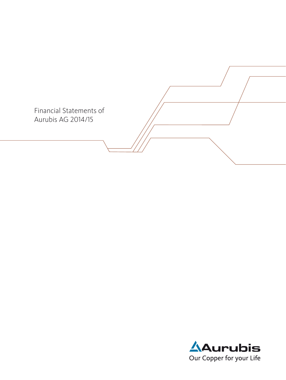

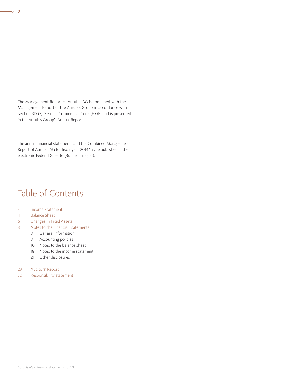The Management Report of Aurubis AG is combined with the Management Report of the Aurubis Group in accordance with Section 315 (3) German Commercial Code (HGB) and is presented in the Aurubis Group's Annual Report.

The annual financial statements and the Combined Management Report of Aurubis AG for fiscal year 2014/15 are published in the electronic Federal Gazette (Bundesanzeiger).

# Table of Contents

- 3 Income Statement
- 4 Balance Sheet
- 6 Changes in Fixed Assets
- 8 Notes to the Financial Statements
	- 8 General information
	- 8 Accounting policies
	- 10 Notes to the balance sheet
	- 18 Notes to the income statement
	- 21 Other disclosures
- 29 Auditors' Report
- 30 Responsibility statement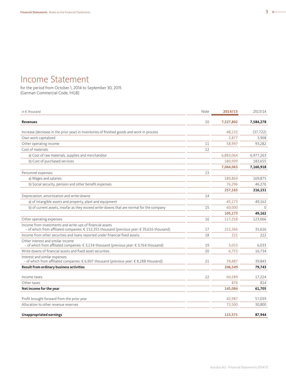# Income Statement

for the period from October 1, 2014 to September 30, 2015 (German Commercial Code, HGB)

| in € thousand                                                                                                                                            | Note | 2014/15   | 2013/14   |
|----------------------------------------------------------------------------------------------------------------------------------------------------------|------|-----------|-----------|
| <b>Revenues</b>                                                                                                                                          | 10   | 7,527,802 | 7,584,278 |
| Increase (decrease in the prior year) in inventories of finished goods and work in process                                                               |      | 48.132    | (37, 722) |
| Own work capitalized                                                                                                                                     |      | 3,877     | 3,908     |
| Other operating income                                                                                                                                   | 11   | 58,997    | 93,282    |
| Cost of materials                                                                                                                                        | 12   |           |           |
| a) Cost of raw materials, supplies and merchandise                                                                                                       |      | 6,883,064 | 6,977,263 |
| b) Cost of purchased services                                                                                                                            |      | 180,999   | 183,655   |
|                                                                                                                                                          |      | 7,064,063 | 7,160,918 |
| Personnel expenses                                                                                                                                       | 13   |           |           |
| a) Wages and salaries                                                                                                                                    |      | 180,869   | 169,875   |
| b) Social security, pension and other benefit expenses                                                                                                   |      | 76,296    | 46,276    |
|                                                                                                                                                          |      | 257,165   | 216,151   |
| Depreciation, amortization and write-downs                                                                                                               | 14   |           |           |
| a) of intangible assets and property, plant and equipment                                                                                                |      | 45.173    | 49,162    |
| b) of current assets, insofar as they exceed write-downs that are normal for the company                                                                 | 15   | 60,000    | $\Omega$  |
|                                                                                                                                                          |      | 105,173   | 49,162    |
| Other operating expenses                                                                                                                                 | 16   | 117,258   | 123,066   |
| Income from investments and write-ups of financial assets<br>- of which from affiliated companies: € 152,355 thousand (previous year: € 35,616 thousand) | 17   | 152,366   | 35,616    |
| Income from other securities and loans reported under financial fixed assets                                                                             | 18   | 221       | 222       |
| Other interest and similar income<br>– of which from affiliated companies: $€ 3,134$ thousand (previous year: $€ 3,764$ thousand)                        | 19   | 5,053     | 6,033     |
| Write-downs of financial assets and fixed asset securities                                                                                               | 20   | 6.753     | 16,734    |
| Interest and similar expenses<br>- of which from affiliated companies: € 6,907 thousand (previous year: € 8,288 thousand)                                | 21   | 39,487    | 39.843    |
| Result from ordinary business activities                                                                                                                 |      | 206,549   | 79,743    |
| Income taxes                                                                                                                                             | 22   | 60,589    | 17,224    |
| Other taxes                                                                                                                                              |      | 876       | 814       |
| Net income for the year                                                                                                                                  |      | 145,084   | 61,705    |
| Profit brought forward from the prior year                                                                                                               |      | 42,987    | 57,039    |
| Allocation to other revenue reserves                                                                                                                     |      | 72,500    | 30,800    |
| <b>Unappropriated earnings</b>                                                                                                                           |      | 115,571   | 87,944    |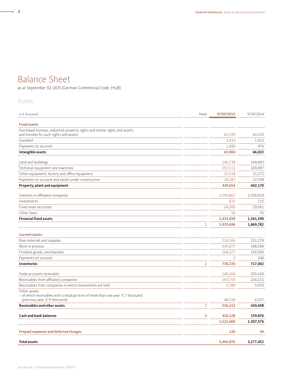# Balance Sheet

as at September 30, 2015 (German Commercial Code, HGB)

### Assets

| in $\epsilon$ thousand                                                                                           | Note           | 9/30/2015 | 9/30/2014 |
|------------------------------------------------------------------------------------------------------------------|----------------|-----------|-----------|
| <b>Fixed assets</b>                                                                                              |                |           |           |
| Purchased licenses, industrial property rights and similar rights and assets,                                    |                |           |           |
| and licenses for such rights and assets                                                                          |                | 63.290    | 63,133    |
| Goodwill                                                                                                         |                | 1,434     | 1,913     |
| Payments on account                                                                                              |                | 1,080     | 976       |
| Intangible assets                                                                                                |                | 65,804    | 66,022    |
| Land and buildings                                                                                               |                | 146,738   | 144,403   |
| Technical equipment and machines                                                                                 |                | 252,511   | 249,897   |
| Other equipment, factory and office equipment                                                                    |                | 15,518    | 15,272    |
| Payments on account and assets under construction                                                                |                | 34,287    | 32,598    |
| Property, plant and equipment                                                                                    |                | 449,054   | 442,170   |
|                                                                                                                  |                |           |           |
| Interests in affiliated companies                                                                                |                | 1,399,867 | 1,330,919 |
| Investments                                                                                                      |                | 615       | 715       |
| Fixed asset securities                                                                                           |                | 24,300    | 29,901    |
| Other loans                                                                                                      |                | 56        | 55        |
| <b>Financial fixed assets</b>                                                                                    |                | 1,424,838 | 1,361,590 |
|                                                                                                                  | $1\,$          | 1,939,696 | 1,869,782 |
| <b>Current assets</b>                                                                                            |                |           |           |
| Raw materials and supplies                                                                                       |                | 224,566   | 251,274   |
| Work in process                                                                                                  |                | 345,877   | 348,580   |
| Finished goods, merchandise                                                                                      |                | 168,277   | 116,900   |
| Payments on account                                                                                              |                | $\Omega$  | 248       |
| <b>Inventories</b>                                                                                               | $\overline{2}$ | 738,720   | 717,002   |
| Trade accounts receivable                                                                                        |                | 140,164   | 203,160   |
| Receivables from affiliated companies                                                                            |                | 163,750   | 216,221   |
| Receivables from companies in which investments are held                                                         |                | 3,780     | 5,070     |
| Other assets                                                                                                     |                |           |           |
| - of which receivables with a residual term of more than one year: € 7 thousand<br>(previous year: € 9 thousand) |                | 48,518    | 6,247     |
| <b>Receivables and other assets</b>                                                                              | 3              | 356,212   | 430,698   |
| <b>Cash and bank balances</b>                                                                                    | $\overline{4}$ | 426,128   | 159,876   |
|                                                                                                                  |                | 1,521,060 | 1,307,576 |
|                                                                                                                  |                |           |           |
| <b>Prepaid expenses and deferred charges</b>                                                                     |                | 120       | 94        |
| <b>Total assets</b>                                                                                              |                | 3,460,876 | 3,177,452 |

 $\overline{\phantom{0}}$   $\circ$  4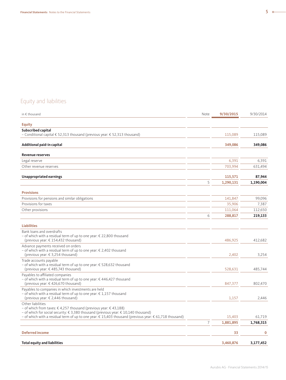## Equity and liabilities

| in € thousand                                                                                                                                                                                                                                                                          | Note           | 9/30/2015 | 9/30/2014   |
|----------------------------------------------------------------------------------------------------------------------------------------------------------------------------------------------------------------------------------------------------------------------------------------|----------------|-----------|-------------|
| <b>Equity</b>                                                                                                                                                                                                                                                                          |                |           |             |
| Subscribed capital                                                                                                                                                                                                                                                                     |                |           |             |
| - Conditional capital € 52,313 thousand (previous year: € 52,313 thousand)                                                                                                                                                                                                             |                | 115,089   | 115,089     |
| Additional paid-in capital                                                                                                                                                                                                                                                             |                | 349,086   | 349,086     |
| <b>Revenue reserves</b>                                                                                                                                                                                                                                                                |                |           |             |
| Legal reserve                                                                                                                                                                                                                                                                          |                | 6,391     | 6,391       |
| Other revenue reserves                                                                                                                                                                                                                                                                 |                | 703,994   | 631,494     |
| Unappropriated earnings                                                                                                                                                                                                                                                                |                | 115,571   | 87,944      |
|                                                                                                                                                                                                                                                                                        | 5              | 1,290,131 | 1,190,004   |
| <b>Provisions</b>                                                                                                                                                                                                                                                                      |                |           |             |
| Provisions for pensions and similar obligations                                                                                                                                                                                                                                        |                | 141,847   | 99,096      |
| Provisions for taxes                                                                                                                                                                                                                                                                   |                | 35,906    | 7,387       |
| Other provisions                                                                                                                                                                                                                                                                       |                | 111,064   | 112,650     |
|                                                                                                                                                                                                                                                                                        | 6              | 288,817   | 219,133     |
| <b>Liabilities</b>                                                                                                                                                                                                                                                                     |                |           |             |
| Bank loans and overdrafts<br>- of which with a residual term of up to one year: € 22,800 thousand<br>(previous year: $\in$ 154,432 thousand)                                                                                                                                           |                | 486,925   | 412.682     |
| Advance payments received on orders<br>- of which with a residual term of up to one year: € 2,402 thousand<br>(previous year: € 3,254 thousand)                                                                                                                                        |                | 2,402     | 3,254       |
| Trade accounts payable<br>- of which with a residual term of up to one year: € 528,632 thousand<br>(previous year: €485,743 thousand)                                                                                                                                                  |                | 528,631   | 485.744     |
| Payables to affiliated companies<br>- of which with a residual term of up to one year: €446,427 thousand<br>(previous year: €426,670 thousand)                                                                                                                                         |                | 847,377   | 802,470     |
| Payables to companies in which investments are held<br>- of which with a residual term of up to one year: $\epsilon$ 1,157 thousand<br>(previous year: € 2,446 thousand)                                                                                                               |                | 1,157     | 2,446       |
| Other liabilities<br>- of which from taxes: €4,257 thousand (previous year: €43,188)<br>- of which for social security: € 3,380 thousand (previous year: € 10,140 thousand)<br>- of which with a residual term of up to one year: € 15,403 thousand (previous year: € 61,718 thousand) |                | 15,403    | 61,719      |
|                                                                                                                                                                                                                                                                                        | $\overline{7}$ | 1,881,895 | 1,768,315   |
| <b>Deferred income</b>                                                                                                                                                                                                                                                                 |                | 33        | $\mathbf 0$ |
| <b>Total equity and liabilities</b>                                                                                                                                                                                                                                                    |                | 3,460,876 | 3,177,452   |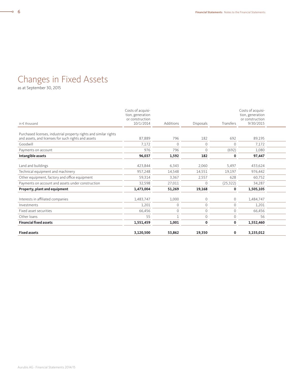# Changes in Fixed Assets

as at September 30, 2015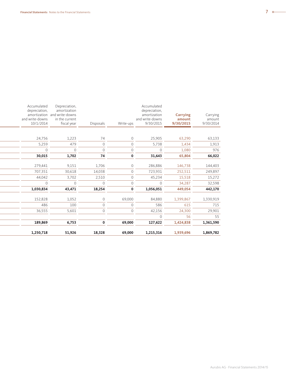| 24,756<br>1,223<br>74<br>25,905<br>63,133<br>63,290<br>$\Omega$<br>5,259<br>479<br>1,913<br>5,738<br>$\overline{0}$<br>1,434<br>$\Omega$<br>976<br>$\overline{0}$<br>$\Omega$<br>1,080<br>$\Omega$<br>$\mathbf{0}$<br>$\Omega$<br>66,022<br>30,015<br>1,702<br>74<br>65,804<br>31,643<br>$\mathbf 0$ | fiscal year<br>9/30/2015<br>9/30/2015<br>9/30/2014<br>10/1/2014<br>Disposals<br>Write-ups | and write-downs<br>and write-downs<br>in the current<br>amount | 286,886   | $\Omega$     | 1,706    | 9,151    | 279,441   |
|------------------------------------------------------------------------------------------------------------------------------------------------------------------------------------------------------------------------------------------------------------------------------------------------------|-------------------------------------------------------------------------------------------|----------------------------------------------------------------|-----------|--------------|----------|----------|-----------|
| 146,738<br>144,403                                                                                                                                                                                                                                                                                   |                                                                                           |                                                                | 45,234    | $\Omega$     | 2,510    | 3,702    | 44,042    |
| 30,618<br>249,897<br>707,351<br>14,038<br>$\overline{0}$<br>723,931<br>252,511<br>15,272<br>15,518                                                                                                                                                                                                   |                                                                                           |                                                                | $\Omega$  | $\Omega$     | $\Omega$ | $\Omega$ | $\Omega$  |
|                                                                                                                                                                                                                                                                                                      |                                                                                           |                                                                | 1,056,051 | $\mathbf{0}$ | 18,254   | 43,471   | 1,030,834 |
|                                                                                                                                                                                                                                                                                                      |                                                                                           |                                                                |           |              |          |          |           |
| 34,287                                                                                                                                                                                                                                                                                               |                                                                                           |                                                                |           |              |          |          |           |
| 32,598                                                                                                                                                                                                                                                                                               |                                                                                           |                                                                |           |              |          |          |           |
|                                                                                                                                                                                                                                                                                                      |                                                                                           |                                                                |           |              |          |          |           |
|                                                                                                                                                                                                                                                                                                      |                                                                                           |                                                                |           |              |          |          |           |
|                                                                                                                                                                                                                                                                                                      |                                                                                           |                                                                |           |              |          |          |           |
|                                                                                                                                                                                                                                                                                                      |                                                                                           |                                                                |           |              |          |          |           |
|                                                                                                                                                                                                                                                                                                      |                                                                                           |                                                                |           |              |          |          |           |
|                                                                                                                                                                                                                                                                                                      |                                                                                           |                                                                |           |              |          |          |           |
|                                                                                                                                                                                                                                                                                                      |                                                                                           |                                                                |           |              |          |          |           |
|                                                                                                                                                                                                                                                                                                      |                                                                                           |                                                                |           |              |          |          |           |
|                                                                                                                                                                                                                                                                                                      |                                                                                           |                                                                |           |              |          |          |           |
|                                                                                                                                                                                                                                                                                                      |                                                                                           |                                                                |           |              |          |          |           |
|                                                                                                                                                                                                                                                                                                      |                                                                                           |                                                                |           |              |          |          |           |
|                                                                                                                                                                                                                                                                                                      |                                                                                           |                                                                |           |              |          |          |           |
|                                                                                                                                                                                                                                                                                                      |                                                                                           |                                                                |           |              |          |          |           |
| depreciation,<br>depreciation,<br>amortization<br>Carrying<br>amortization and write-downs<br>amortization<br><b>Carrying</b><br>amount                                                                                                                                                              |                                                                                           |                                                                |           |              |          |          |           |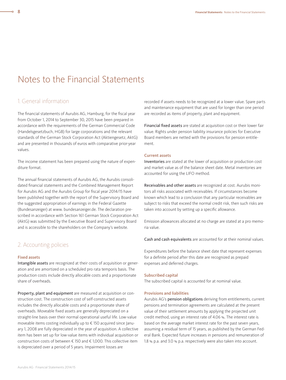# Notes to the Financial Statements

### 1. General information

The financial statements of Aurubis AG, Hamburg, for the fiscal year from October 1, 2014 to September 30, 2015 have been prepared in accordance with the requirements of the German Commercial Code (Handelsgesetzbuch, HGB) for large corporations and the relevant standards of the German Stock Corporation Act (Aktiengesetz, AktG) and are presented in thousands of euros with comparative prior-year values.

The income statement has been prepared using the nature of expenditure format.

The annual financial statements of Aurubis AG, the Aurubis consolidated financial statements and the Combined Management Report for Aurubis AG and the Aurubis Group for fiscal year 2014/15 have been published together with the report of the Supervisory Board and the suggested appropriation of earnings in the Federal Gazette (Bundesanzeiger) at www. bundesanzeiger.de. The declaration prescribed in accordance with Section 161 German Stock Corporation Act (AktG) was submitted by the Executive Board and Supervisory Board and is accessible to the shareholders on the Company's website.

### 2. Accounting policies

#### Fixed assets

Intangible assets are recognized at their costs of acquisition or generation and are amortized on a scheduled pro rata temporis basis. The production costs include directly allocable costs and a proportionate share of overheads.

Property, plant and equipment are measured at acquisition or construction cost. The construction cost of self-constructed assets includes the directly allocable costs and a proportionate share of overheads. Moveable fixed assets are generally depreciated on a straight-line basis over their normal operational useful life. Low-value moveable items costing individually up to € 150 acquired since January 1, 2008 are fully depreciated in the year of acquisition. A collective item has been set up for low-value items with individual acquisition or construction costs of between € 150 and € 1,000. This collective item is depreciated over a period of 5 years. Impairment losses are

recorded if assets needs to be recognized at a lower value. Spare parts and maintenance equipment that are used for longer than one period are recorded as items of property, plant and equipment.

Financial fixed assets are stated at acquisition cost or their lower fair value. Rights under pension liability insurance policies for Executive Board members are netted with the provisions for pension entitlement.

#### Current assets

Inventories are stated at the lower of acquisition or production cost and market value as of the balance sheet date. Metal inventories are accounted for using the LIFO method.

Receivables and other assets are recognized at cost. Aurubis monitors all risks associated with receivables. If circumstances become known which lead to a conclusion that any particular receivables are subject to risks that exceed the normal credit risk, then such risks are taken into account by setting up a specific allowance.

Emission allowances allocated at no charge are stated at a pro memoria value.

Cash and cash equivalents are accounted for at their nominal values.

Expenditures before the balance sheet date that represent expenses for a definite period after this date are recognized as prepaid expenses and deferred charges.

#### Subscribed capital

The subscribed capital is accounted for at nominal value.

#### Provisions and liabilities

Aurubis AG's pension obligations deriving from entitlements, current pensions and termination agreements are calculated at the present value of their settlement amounts by applying the projected unit credit method, using an interest rate of 4.06 %. The interest rate is based on the average market interest rate for the past seven years, assuming a residual term of 15 years, as published by the German Federal Bank. Expected future increases in pensions and remuneration of 1.8 % p.a. and 3.0 % p.a. respectively were also taken into account.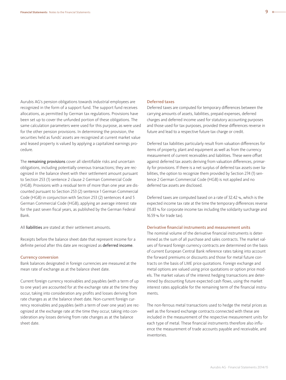Aurubis AG's pension obligations towards industrial employees are recognized in the form of a support fund. The support fund receives allocations, as permitted by German tax regulations. Provisions have been set up to cover the unfunded portion of these obligations. The same calculation parameters were used for this purpose, as were used for the other pension provisions. In determining the provision, the securities held as funds' assets are recognized at current market value and leased property is valued by applying a capitalized earnings procedure.

The remaining provisions cover all identifiable risks and uncertain obligations, including potentially onerous transactions; they are recognized in the balance sheet with their settlement amount pursuant to Section 253 (1) sentence 2 clause 2 German Commercial Code (HGB). Provisions with a residual term of more than one year are discounted pursuant to Section 253 (2) sentence 1 German Commercial Code (HGB) in conjunction with Section 253 (2) sentences 4 and 5 German Commercial Code (HGB), applying an average interest rate for the past seven fiscal years, as published by the German Federal Bank.

All liabilities are stated at their settlement amounts.

Receipts before the balance sheet date that represent income for a definite period after this date are recognized as deferred income.

#### Currency conversion

Bank balances designated in foreign currencies are measured at the mean rate of exchange as at the balance sheet date.

Current foreign currency receivables and payables (with a term of up to one year) are accounted for at the exchange rate at the time they occur, taking into consideration any profits and losses deriving from rate changes as at the balance sheet date. Non-current foreign currency receivables and payables (with a term of over one year) are recognized at the exchange rate at the time they occur, taking into consideration any losses deriving from rate changes as at the balance sheet date.

#### Deferred taxes

Deferred taxes are computed for temporary differences between the carrying amounts of assets, liabilities, prepaid expenses, deferred charges and deferred income used for statutory accounting purposes and those used for tax purposes, provided these differences reverse in future and lead to a respective future tax charge or credit.

Deferred tax liabilities particularly result from valuation differences for items of property, plant and equipment as well as from the currency measurement of current receivables and liabilities. These were offset against deferred tax assets deriving from valuation differences, primarily for provisions. If there is a net surplus of deferred tax assets over liabilities, the option to recognize them provided by Section 274 (1) sentence 2 German Commercial Code (HGB) is not applied and no deferred tax assets are disclosed.

Deferred taxes are computed based on a rate of 32.42 %, which is the expected income tax rate at the time the temporary differences reverse (15.83 % for corporate income tax including the solidarity surcharge and 16.59 % for trade tax).

#### Derivative financial instruments and measurement units

The nominal volume of the derivative financial instruments is determined as the sum of all purchase and sales contracts. The market values of forward foreign currency contracts are determined on the basis of current European Central Bank reference rates taking into account the forward premiums or discounts and those for metal future contracts on the basis of LME price quotations. Foreign exchange and metal options are valued using price quotations or option price models. The market values of the interest hedging transactions are determined by discounting future expected cash flows, using the market interest rates applicable for the remaining term of the financial instruments.

The non-ferrous metal transactions used to hedge the metal prices as well as the forward exchange contracts connected with these are included in the measurement of the respective measurement units for each type of metal. These financial instruments therefore also influence the measurement of trade accounts payable and receivable, and inventories.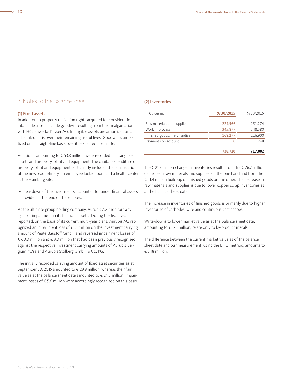### 3. Notes to the balance sheet

#### (1) Fixed assets

In addition to property utilization rights acquired for consideration, intangible assets include goodwill resulting from the amalgamation with Hüttenwerke Kayser AG. Intangible assets are amortized on a scheduled basis over their remaining useful lives. Goodwill is amortized on a straight-line basis over its expected useful life.

Additions, amounting to € 53.8 million, were recorded in intangible assets and property, plant and equipment. The capital expenditure on property, plant and equipment particularly included the construction of the new lead refinery, an employee locker room and a health center at the Hamburg site.

 A breakdown of the investments accounted for under financial assets is provided at the end of these notes.

As the ultimate group holding company, Aurubis AG monitors any signs of impairment in its financial assets. During the fiscal year reported, on the basis of its current multi-year plans, Aurubis AG recognized an impairment loss of € 1.1 million on the investment carrying amount of Peute Baustoff GmbH and reversed impairment losses of € 60.0 million and € 9.0 million that had been previously recognized against the respective investment carrying amounts of Aurubis Belgium nv/sa and Aurubis Stolberg GmbH & Co. KG.

The initially recorded carrying amount of fixed asset securities as at September 30, 2015 amounted to € 29.9 million, whereas their fair value as at the balance sheet date amounted to € 24.3 million. Impairment losses of € 5.6 million were accordingly recognized on this basis.

#### (2) Inventories

| in $\epsilon$ thousand      | 9/30/2015        | 9/30/2015 |
|-----------------------------|------------------|-----------|
|                             |                  |           |
| Raw materials and supplies  | 224,566          | 251,274   |
| Work in process             | 345,877          | 348,580   |
| Finished goods, merchandise | 168,277          | 116,900   |
| Payments on account         | $\left( \right)$ | 248       |
|                             | 738,720          | 717,002   |

The € 21.7 million change in inventories results from the € 26.7 million decrease in raw materials and supplies on the one hand and from the € 51.4 million build-up of finished goods on the other. The decrease in raw materials and supplies is due to lower copper scrap inventories as at the balance sheet date.

The increase in inventories of finished goods is primarily due to higher inventories of cathodes, wire and continuous cast shapes.

Write-downs to lower market value as at the balance sheet date, amounting to € 12.1 million, relate only to by-product metals.

The difference between the current market value as of the balance sheet date and our measurement, using the LIFO method, amounts to € 548 million.

-o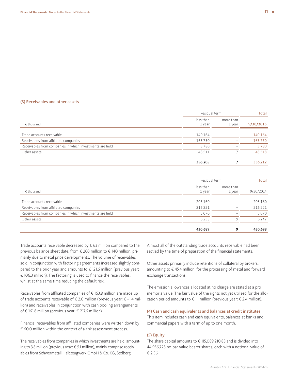#### (3) Receivables and other assets

|                                                          | Residual term       |                          | Total     |
|----------------------------------------------------------|---------------------|--------------------------|-----------|
| in $\epsilon$ thousand                                   | less than<br>1 year | more than<br>1 year      | 9/30/2015 |
| Trade accounts receivable                                | 140,164             | $\overline{\phantom{0}}$ | 140,164   |
| Receivables from affiliated companies                    | 163,750             | -                        | 163,750   |
| Receivables from companies in which investments are held | 3,780               | $\overline{\phantom{a}}$ | 3,780     |
| Other assets                                             | 48,511              |                          | 48,518    |
|                                                          | 356,205             |                          | 356,212   |

|                                                          | Residual term       |                          | Total     |
|----------------------------------------------------------|---------------------|--------------------------|-----------|
| in $\epsilon$ thousand                                   | less than<br>1 year | more than<br>1 year      | 9/30/2014 |
| Trade accounts receivable                                | 203,160             | $\overline{\phantom{a}}$ | 203,160   |
| Receivables from affiliated companies                    | 216,221             | $\overline{\phantom{a}}$ | 216,221   |
| Receivables from companies in which investments are held | 5,070               | $\hspace{0.05cm}$        | 5,070     |
| Other assets                                             | 6,238               | q                        | 6,247     |
|                                                          | 430,689             | 9                        | 430,698   |

Trade accounts receivable decreased by € 63 million compared to the previous balance sheet date, from € 203 million to € 140 million, primarily due to metal price developments. The volume of receivables sold in conjunction with factoring agreements increased slightly compared to the prior year and amounts to € 121.6 million (previous year: € 106.3 million). The factoring is used to finance the receivables, whilst at the same time reducing the default risk.

Receivables from affiliated companies of € 163.8 million are made up of trade accounts receivable of € 2.0 million (previous year: € –1.4 million) and receivables in conjunction with cash pooling arrangements of € 161.8 million (previous year: € 217.6 million).

Financial receivables from affiliated companies were written down by € 60.0 million within the context of a risk assessment process.

The receivables from companies in which investments are held, amounting to 3.8 million (previous year: € 5.1 million), mainly comprise receivables from Schwermetall Halbzeugwerk GmbH & Co. KG, Stolberg.

Almost all of the outstanding trade accounts receivable had been settled by the time of preparation of the financial statements.

Other assets primarily include retentions of collateral by brokers, amounting to € 45.4 million, for the processing of metal and forward exchange transactions.

The emission allowances allocated at no charge are stated at a pro memoria value. The fair value of the rights not yet utilized for the allocation period amounts to  $\epsilon$  1.1 million (previous year:  $\epsilon$  2.4 million).

#### (4) Cash and cash equivalents and balances at credit institutes

This item includes cash and cash equivalents, balances at banks and commercial papers with a term of up to one month.

#### (5) Equity

The share capital amounts to € 115,089,210.88 and is divided into 44,956,723 no-par-value bearer shares, each with a notional value of € 2.56.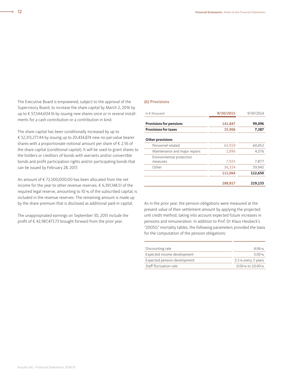The Executive Board is empowered, subject to the approval of the Supervisory Board, to increase the share capital by March 2, 2016 by up to € 57,544,604.16 by issuing new shares once or in several installments for a cash contribution or a contribution in kind.

The share capital has been conditionally increased by up to € 52,313,277.44 by issuing up to 20,434,874 new no-par-value bearer shares with a proportionate notional amount per share of € 2.56 of the share capital (conditional capital). It will be used to grant shares to the holders or creditors of bonds with warrants and/or convertible bonds and profit participation rights and/or participating bonds that can be issued by February 28, 2017.

An amount of € 72,500,000.00 has been allocated from the net income for the year to other revenue reserves. € 6,391,148.51 of the required legal reserve, amounting to 10 % of the subscribed capital, is included in the revenue reserves. The remaining amount is made up by the share premium that is disclosed as additional paid-in capital.

The unappropriated earnings on September 30, 2015 include the profit of € 42,987,473.73 brought forward from the prior year.

#### (6) Provisions

| in $\epsilon$ thousand               | 9/30/2015 | 9/30/2014 |
|--------------------------------------|-----------|-----------|
| <b>Provisions for pensions</b>       | 141,847   | 99,096    |
| <b>Provisions for taxes</b>          | 35,906    | 7,387     |
| <b>Other provisions</b>              |           |           |
| Personnel-related                    | 63,919    | 60,452    |
| Maintenance and major repairs        | 2,896     | 4,376     |
| Environmental protection<br>measures | 7,925     | 7,877     |
| Other                                | 36,324    | 39,945    |
|                                      | 111,064   | 112,650   |
|                                      | 288,817   | 219,133   |

As in the prior year, the pension obligations were measured at the present value of their settlement amount by applying the projected unit credit method, taking into account expected future increases in pensions and remuneration. In addition to Prof. Dr Klaus Heubeck's "2005G" mortality tables, the following parameters provided the basis for the computation of the pension obligations:

| Discounting rate             | 4.06%                 |
|------------------------------|-----------------------|
| Expected income development  | 3.00%                 |
| Expected pension development | 5.5 % every 3 years   |
| Staff fluctuation rate       | $0.00$ % to $10.00$ % |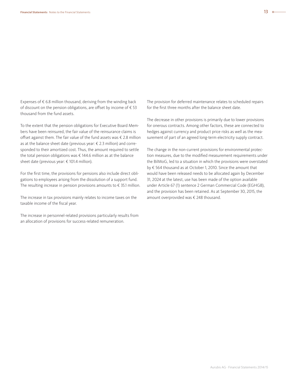Expenses of  $\epsilon$  6.8 million thousand, deriving from the winding back of discount on the pension obligations, are offset by income of € 53 thousand from the fund assets.

To the extent that the pension obligations for Executive Board Members have been reinsured, the fair value of the reinsurance claims is offset against them. The fair value of the fund assets was € 2.8 million as at the balance sheet date (previous year: € 2.3 million) and corresponded to their amortized cost. Thus, the amount required to settle the total pension obligations was  $\epsilon$  144.6 million as at the balance sheet date (previous year: € 101.4 million).

For the first time, the provisions for pensions also include direct obligations to employees arising from the dissolution of a support fund. The resulting increase in pension provisions amounts to € 35.1 million.

The increase in tax provisions mainly relates to income taxes on the taxable income of the fiscal year.

The increase in personnel-related provisions particularly results from an allocation of provisions for success-related remuneration.

The provision for deferred maintenance relates to scheduled repairs for the first three months after the balance sheet date.

The decrease in other provisions is primarily due to lower provisions for onerous contracts. Among other factors, these are connected to hedges against currency and product price risks as well as the measurement of part of an agreed long-term electricity supply contract.

The change in the non-current provisions for environmental protection measures, due to the modified measurement requirements under the BilMoG, led to a situation in which the provisions were overstated by € 564 thousand as at October 1, 2010. Since the amount that would have been released needs to be allocated again by December 31, 2024 at the latest, use has been made of the option available under Article 67 (1) sentence 2 German Commercial Code (EGHGB), and the provision has been retained. As at September 30, 2015, the amount overprovided was € 248 thousand.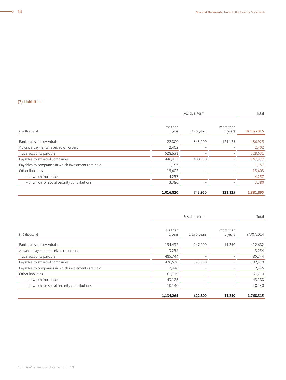#### (7) Liabilities

|                                                     | Residual term       |              |                      | Total     |
|-----------------------------------------------------|---------------------|--------------|----------------------|-----------|
| in $\epsilon$ thousand                              | less than<br>1 year | 1 to 5 years | more than<br>5 years | 9/30/2015 |
| Bank loans and overdrafts                           | 22,800              | 343,000      | 121,125              | 486,925   |
| Advance payments received on orders                 | 2,402               |              |                      | 2,402     |
| Trade accounts payable                              | 528,631             |              |                      | 528,631   |
| Payables to affiliated companies                    | 446,427             | 400,950      |                      | 847,377   |
| Payables to companies in which investments are held | 1,157               |              |                      | 1,157     |
| Other liabilities                                   | 15,403              |              |                      | 15,403    |
| - of which from taxes                               | 4,257               |              |                      | 4,257     |
| - of which for social security contributions        | 3,380               |              |                      | 3,380     |
|                                                     | 1,016,820           | 743,950      | 121,125              | 1,881,895 |

|                                                     | Residual term       | Total                    |                      |           |
|-----------------------------------------------------|---------------------|--------------------------|----------------------|-----------|
| in $\epsilon$ thousand                              | less than<br>1 year | 1 to 5 years             | more than<br>5 years | 9/30/2014 |
| Bank loans and overdrafts                           | 154,432             | 247,000                  | 11,250               | 412,682   |
| Advance payments received on orders                 | 3,254               |                          |                      | 3,254     |
| Trade accounts payable                              | 485,744             |                          |                      | 485,744   |
| Payables to affiliated companies                    | 426,670             | 375,800                  |                      | 802,470   |
| Payables to companies in which investments are held | 2,446               |                          |                      | 2,446     |
| Other liabilities                                   | 61,719              |                          |                      | 61,719    |
| - of which from taxes                               | 43,188              |                          |                      | 43,188    |
| - of which for social security contributions        | 10,140              | $\overline{\phantom{a}}$ |                      | 10,140    |
|                                                     | 1,134,265           | 622,800                  | 11,250               | 1,768,315 |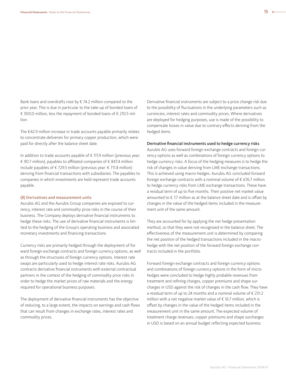Bank loans and overdrafts rose by  $\epsilon$  74.2 million compared to the prior year. This is due in particular to the take-up of bonded loans of € 300.0 million, less the repayment of bonded loans of € 210.5 million.

The €42.9 million increase in trade accounts payable primarily relates to concentrate deliveries for primary copper production, which were paid for directly after the balance sheet date.

In addition to trade accounts payable of € 117.9 million (previous year: € 90.7 million), payables to affiliated companies of € 847.4 million include payables of € 729.5 million (previous year: € 711.8 million) deriving from financial transactions with subsidiaries. The payables to companies in which investments are held represent trade accounts payable.

#### (8) Derivatives and measurement units

Aurubis AG and the Aurubis Group companies are exposed to currency, interest rate and commodity price risks in the course of their business. The Company deploys derivative financial instruments to hedge these risks. The use of derivative financial instruments is limited to the hedging of the Group's operating business and associated monetary investments and financing transactions.

Currency risks are primarily hedged through the deployment of forward foreign exchange contracts and foreign currency options, as well as through the structures of foreign currency options. Interest rate swaps are particularly used to hedge interest rate risks. Aurubis AG contracts derivative financial instruments with external contractual partners in the context of the hedging of commodity price risks in order to hedge the market prices of raw materials and the energy required for operational business purposes.

The deployment of derivative financial instruments has the objective of reducing, to a large extent, the impacts on earnings and cash flows that can result from changes in exchange rates, interest rates and commodity prices.

Derivative financial instruments are subject to a price change risk due to the possibility of fluctuations in the underlying parameters such as currencies, interest rates and commodity prices. Where derivatives are deployed for hedging purposes, use is made of the possibility to compensate losses in value due to contrary effects deriving from the hedged items.

#### Derivative financial instruments used to hedge currency risks

Aurubis AG uses forward foreign exchange contracts and foreign currency options as well as combinations of foreign currency options to hedge currency risks. A focus of the hedging measures is to hedge the risk of changes in value deriving from LME exchange transactions. This is achieved using macro-hedges. Aurubis AG concluded forward foreign exchange contracts with a nominal volume of  $\epsilon$  676.7 million to hedge currency risks from LME exchange transactions. These have a residual term of up to five months. Their positive net market value amounted to  $\epsilon$  7.7 million as at the balance sheet date and is offset by changes in the value of the hedged items included in the measurement unit of the same amount.

They are accounted for by applying the net hedge presentation method, so that they were not recognized in the balance sheet. The effectiveness of the measurement unit is determined by comparing the net position of the hedged transactions included in the macrohedge with the net position of the forward foreign exchange contracts included in the portfolio.

Forward foreign exchange contracts and foreign currency options and combinations of foreign currency options in the form of microhedges were concluded to hedge highly probable revenues from treatment and refining charges, copper premiums and shape surcharges in USD against the risk of changes in the cash flow. They have a residual term of up to 24 months and a nominal volume of € 231.2 million with a net negative market value of € 16.7 million, which is offset by changes in the value of the hedged items included in the measurement unit in the same amount. The expected volume of treatment charge revenues, copper premiums and shape surcharges in USD is based on an annual budget reflecting expected business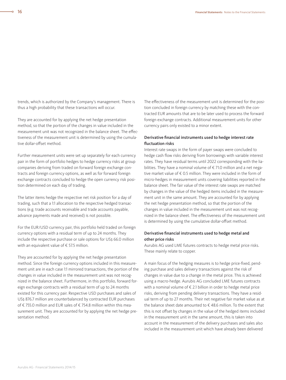trends, which is authorized by the Company's management. There is thus a high probability that these transactions will occur.

They are accounted for by applying the net hedge presentation method, so that the portion of the changes in value included in the measurement unit was not recognized in the balance sheet. The effectiveness of the measurement unit is determined by using the cumulative dollar-offset method.

Further measurement units were set up separately for each currency pair in the form of portfolio hedges to hedge currency risks at group companies deriving from traded on forward foreign exchange contracts and foreign currency options, as well as for forward foreign exchange contracts concluded to hedge the open currency risk position determined on each day of trading.

The latter items hedge the respective net risk position for a day of trading, such that a 1:1 allocation to the respective hedged transactions (e.g. trade accounts receivable and trade accounts payable, advance payments made and received) is not possible.

For the EUR/USD currency pair, this portfolio held traded on foreign currency options with a residual term of up to 24 months. They include the respective purchase or sale options for US\$ 66.0 million with an equivalent value of € 57.5 million.

They are accounted for by applying the net hedge presentation method. Since the foreign currency options included in this measurement unit are in each case 1:1 mirrored transactions, the portion of the changes in value included in the measurement unit was not recognized in the balance sheet. Furthermore, in this portfolio, forward foreign exchange contracts with a residual term of up to 24 months existed for this currency pair. Respective USD purchases and sales of US\$ 876.7 million are counterbalanced by contracted EUR purchases of € 755.0 million and EUR sales of € 754.8 million within this measurement unit. They are accounted for by applying the net hedge presentation method.

The effectiveness of the measurement unit is determined for the position concluded in foreign currency by matching these with the contracted EUR amounts that are to be later used to process the forward foreign exchange contracts. Additional measurement units for other currency pairs only existed to a minor extent.

#### Derivative financial instruments used to hedge interest rate fluctuation risks

Interest rate swaps in the form of payer swaps were concluded to hedge cash flow risks deriving from borrowings with variable interest rates. They have residual terms until 2022 corresponding with the liabilities. They have a nominal volume of € 71.0 million and a net negative market value of € 0.5 million. They were included in the form of micro-hedges in measurement units covering liabilities reported in the balance sheet. The fair value of the interest rate swaps are matched by changes in the value of the hedged items included in the measurement unit in the same amount. They are accounted for by applying the net hedge presentation method, so that the portion of the changes in value included in the measurement unit was not recognized in the balance sheet. The effectiveness of the measurement unit is determined by using the cumulative dollar-offset method.

#### Derivative financial instruments used to hedge metal and other price risks

Aurubis AG used LME futures contracts to hedge metal price risks. These mainly relate to copper.

A main focus of the hedging measures is to hedge price-fixed, pending purchase and sales delivery transactions against the risk of changes in value due to a change in the metal price. This is achieved using a macro-hedge. Aurubis AG concluded LME futures contracts with a nominal volume of  $\epsilon$  2.1 billion in order to hedge metal price risks, deriving from pending delivery transactions. They have a residual term of up to 27 months. Their net negative fair market value as at the balance sheet date amounted to € 48.6 million. To the extent that this is not offset by changes in the value of the hedged items included in the measurement unit in the same amount, this is taken into account in the measurement of the delivery purchases and sales also included in the measurement unit which have already been delivered

 $\overline{\bullet}$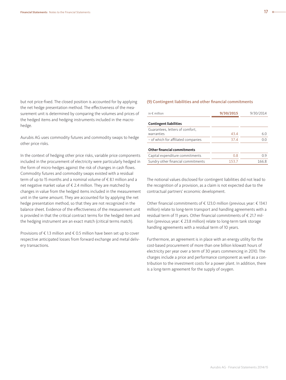but not price-fixed. The closed position is accounted for by applying the net hedge presentation method. The effectiveness of the measurement unit is determined by comparing the volumes and prices of the hedged items and hedging instruments included in the macrohedge.

Aurubis AG uses commodity futures and commodity swaps to hedge other price risks.

In the context of hedging other price risks, variable price components included in the procurement of electricity were particularly hedged in the form of micro-hedges against the risk of changes in cash flows. Commodity futures and commodity swaps existed with a residual term of up to 15 months and a nominal volume of € 8.1 million and a net negative market value of € 2.4 million. They are matched by changes in value from the hedged items included in the measurement unit in the same amount. They are accounted for by applying the net hedge presentation method, so that they are not recognized in the balance sheet. Evidence of the effectiveness of the measurement unit is provided in that the critical contract terms for the hedged item and the hedging instrument are an exact match (critical terms match).

Provisions of € 1.3 million and € 0.5 million have been set up to cover respective anticipated losses from forward exchange and metal delivery transactions.

#### (9) Contingent liabilities and other financial commitments

| in $\notin$ million                           | 9/30/2015 | 9/30/2014 |
|-----------------------------------------------|-----------|-----------|
| <b>Contingent liabilities</b>                 |           |           |
| Guarantees, letters of comfort,<br>warranties | 43.4      | 6.0       |
| - of which for affiliated companies           | 37.4      | 0.0       |
| <b>Other financial commitments</b>            |           |           |
| Capital expenditure commitments               | 0.8       | 0.9       |
| Sundry other financial commitments            | 153.7     | 166.8     |

The notional values disclosed for contingent liabilities did not lead to the recognition of a provision, as a claim is not expected due to the contractual partners' economic development.

Other financial commitments of € 123.0 million (previous year: € 134.1 million) relate to long-term transport and handling agreements with a residual term of 11 years. Other financial commitments of € 21.7 million (previous year: € 23.8 million) relate to long-term tank storage handling agreements with a residual term of 10 years.

Furthermore, an agreement is in place with an energy utility for the cost-based procurement of more than one billion kilowatt hours of electricity per year over a term of 30 years commencing in 2010. The charges include a price and performance component as well as a contribution to the investment costs for a power plant. In addition, there is a long-term agreement for the supply of oxygen.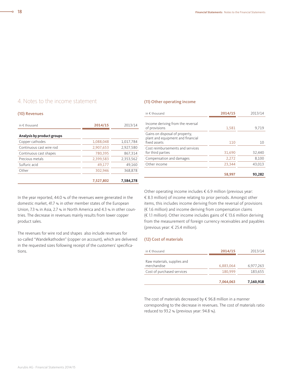### 4. Notes to the income statement

#### (10) Revenues

| in $\epsilon$ thousand     | 2014/15   | 2013/14   |
|----------------------------|-----------|-----------|
| Analysis by product groups |           |           |
| Copper cathodes            | 1,088,048 | 1,017,784 |
| Continuous cast wire rod   | 2,907,653 | 2,927,580 |
| Continuous cast shapes     | 780.395   | 867.314   |
| Precious metals            | 2,399,583 | 2,353,562 |
| Sulfuric acid              | 49.177    | 49.160    |
| Other                      | 302,946   | 368,878   |
|                            | 7.527.802 | 7.584.278 |

In the year reported, 44.0 % of the revenues were generated in the domestic market, 41.7 % in other member states of the European Union, 7.3 % in Asia, 2.7 % in North America and 4.3 % in other countries. The decrease in revenues mainly results from lower copper product sales.

The revenues for wire rod and shapes also include revenues for so-called "Wandelkathoden" (copper on account), which are delivered in the requested sizes following receipt of the customers' specifications.

#### (11) Other operating income

| in $\epsilon$ thousand                                                              | 2014/15 | 2013/14 |
|-------------------------------------------------------------------------------------|---------|---------|
| Income deriving from the reversal<br>of provisions                                  | 1,581   | 9,719   |
| Gains on disposal of property,<br>plant and equipment and financial<br>fixed assets | 110     | 10      |
| Cost reimbursements and services<br>for third parties                               | 31,690  | 32,440  |
| Compensation and damages                                                            | 2,272   | 8,100   |
| Other income                                                                        | 23.344  | 43,013  |
|                                                                                     | 58,997  | 93.282  |

Other operating income includes € 6.9 million (previous year: € 8.3 million) of income relating to prior periods. Amongst other items, this includes income deriving from the reversal of provisions (€ 1.6 million) and income deriving from compensation claims (€ 1.1 million). Other income includes gains of € 13.6 million deriving from the measurement of foreign currency receivables and payables (previous year: € 25.4 million).

#### (12) Cost of materials

| in $\notin$ thousand                       | 2014/15   | 2013/14   |
|--------------------------------------------|-----------|-----------|
| Raw materials, supplies and<br>merchandise | 6,883,064 | 6,977,263 |
| Cost of purchased services                 | 180,999   | 183,655   |
|                                            | 7.064.063 | 7,160,918 |

The cost of materials decreased by  $\epsilon$  96.8 million in a manner corresponding to the decrease in revenues. The cost of materials ratio reduced to 93.2 % (previous year: 94.8 %).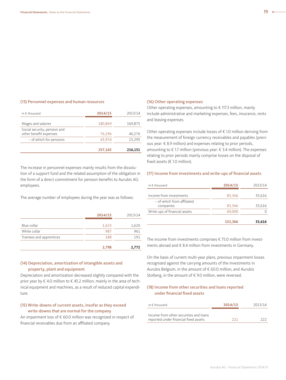#### (13) Personnel expenses and human resources

| in $\notin$ thousand                                   | 2014/15 | 2013/14 |
|--------------------------------------------------------|---------|---------|
| Wages and salaries                                     | 180,869 | 169,875 |
| Social security, pension and<br>other benefit expenses | 76,296  | 46,276  |
| - of which for pensions                                | 43.974  | 15,295  |
|                                                        | 257,165 | 216,151 |

The increase in personnel expenses mainly results from the dissolution of a support fund and the related assumption of the obligation in the form of a direct commitment for pension benefits to Aurubis AG employees.

The average number of employees during the year was as follows:

|                          | 2014/15 | 2013/14 |
|--------------------------|---------|---------|
| Blue collar              | 1,623   | 1,620   |
| White collar             | 987     | 961     |
| Trainees and apprentices | 188     | 191     |
|                          | 2,798   | 2,772   |

#### (14) Depreciation, amortization of intangible assets and property, plant and equipment

Depreciation and amortization decreased slightly compared with the prior year by € 4.0 million to € 45.2 million, mainly in the area of technical equipment and machines, as a result of reduced capital expenditure.

#### (15) Write-downs of current assets, insofar as they exceed write-downs that are normal for the company

An impairment loss of € 60.0 million was recognized in respect of financial receivables due from an affiliated company.

#### (16) Other operating expenses

Other operating expenses, amounting to  $\epsilon$  117.3 million, mainly include administrative and marketing expenses, fees, insurance, rents and leasing expenses.

Other operating expenses include losses of € 1.0 million deriving from the measurement of foreign currency receivables and payables (previous year: € 8.9 million) and expenses relating to prior periods, amounting to € 1.7 million (previous year: € 3.4 million). The expenses relating to prior periods mainly comprise losses on the disposal of fixed assets (€ 1.0 million).

#### (17) Income from investments and write-ups of financial assets

| in $\notin$ thousand                    | 2014/15 | 2013/14 |
|-----------------------------------------|---------|---------|
| Income from investments                 | 83,366  | 35,616  |
| - of which from affiliated<br>companies | 83,366  | 35.616  |
| Write-ups of financial assets           | 69,000  |         |
|                                         | 152,366 | 35,616  |

The income from investments comprises € 75.0 million from investments abroad and € 8.4 million from investments in Germany.

On the basis of current multi-year plans, previous impairment losses recognized against the carrying amounts of the investments in Aurubis Belgium, in the amount of € 60.0 million, and Aurubis Stolberg, in the amount of € 9.0 million, were reversed.

#### (18) Income from other securities and loans reported under financial fixed assets

| in $\epsilon$ thousand                                                          | 2014/15 | 2013/14 |  |
|---------------------------------------------------------------------------------|---------|---------|--|
| Income from other securities and loans<br>reported under financial fixed assets | 221     | つつつ     |  |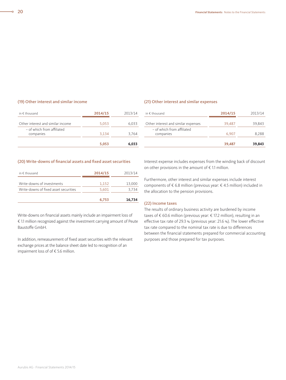#### (19) Other interest and similar income

| in $\epsilon$ thousand                  | 2014/15 | 2013/14 |
|-----------------------------------------|---------|---------|
| Other interest and similar income       | 5,053   | 6.033   |
| - of which from affiliated<br>companies | 3.134   | 3.764   |
|                                         | 5.053   | 6.033   |

#### (21) Other interest and similar expenses

| in $\epsilon$ thousand                  | 2014/15 | 2013/14 |
|-----------------------------------------|---------|---------|
| Other interest and similar expenses     | 39,487  | 39,843  |
| - of which from affiliated<br>companies | 6,907   | 8.288   |
|                                         | 39,487  | 39,843  |

#### (20) Write-downs of financial assets and fixed asset securities

| in $\epsilon$ thousand                | 2014/15 | 2013/14 |
|---------------------------------------|---------|---------|
| Write-downs of investments            | 1,152   | 13,000  |
| Write-downs of fixed asset securities | 5,601   | 3.734   |
|                                       | 6.753   | 16,734  |

Write-downs on financial assets mainly include an impairment loss of € 1.1 million recognized against the investment carrying amount of Peute Baustoffe GmbH.

In addition, remeasurement of fixed asset securities with the relevant exchange prices at the balance sheet date led to recognition of an impairment loss of of € 5.6 million.

Interest expense includes expenses from the winding back of discount on other provisions in the amount of  $\epsilon$  1.1 million.

Furthermore, other interest and similar expenses include interest components of € 6.8 million (previous year: € 4.5 million) included in the allocation to the pension provisions.

#### (22) Income taxes

The results of ordinary business activity are burdened by income taxes of € 60.6 million (previous year: € 17.2 million), resulting in an effective tax rate of 29.3 % (previous year: 21.6 %). The lower effective tax rate compared to the nominal tax rate is due to differences between the financial statements prepared for commercial accounting purposes and those prepared for tax purposes.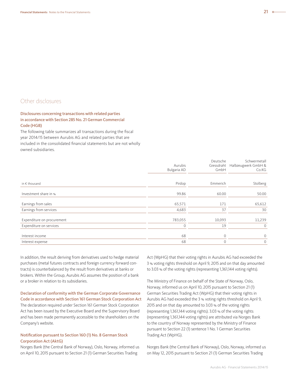### Other disclosures

#### Disclosures concerning transactions with related parties in accordance with Section 285 No. 21 German Commercial Code (HGB)

The following table summarizes all transactions during the fiscal year 2014/15 between Aurubis AG and related parties that are included in the consolidated financial statements but are not wholly owned subsidiaries.

|                            |              | Deutsche     | Schwermetall        |
|----------------------------|--------------|--------------|---------------------|
|                            | Aurubis      | Giessdraht   | Halbzeugwerk GmbH & |
|                            | Bulgaria AD  | GmbH         | Co.KG               |
|                            |              |              |                     |
| in $\epsilon$ thousand     | Pirdop       | Emmerich     | Stolberg            |
| Investment share in %      | 99.86        | 60.00        | 50.00               |
|                            |              |              |                     |
| Earnings from sales        | 65,571       | 171          | 65,612              |
| Earnings from services     | 4,683        | 37           | 30                  |
| Expenditure on procurement | 783,055      | 10,093       | 11,239              |
| Expenditure on services    | $\mathbf{0}$ | 19           | $\mathbf 0$         |
|                            |              |              |                     |
| Interest income            | 68           | $\mathbf{0}$ | $\mathbf 0$         |
| Interest expense           | 68           | $\mathbf{0}$ | $\mathbf{0}$        |

In addition, the result deriving from derivatives used to hedge material purchases (metal futures contracts and foreign currency forward contracts) is counterbalanced by the result from derivatives at banks or brokers. Within the Group, Aurubis AG assumes the position of a bank or a broker in relation to its subsidiaries.

Declaration of conformity with the German Corporate Governance Code in accordance with Section 161 German Stock Corporation Act The declaration required under Section 161 German Stock Corporation Act has been issued by the Executive Board and the Supervisory Board and has been made permanently accessible to the shareholders on the

#### Notification pursuant to Section 160 (1) No. 8 German Stock Corporation Act (AktG)

Company's website.

Norges Bank (the Central Bank of Norway), Oslo, Norway, informed us on April 10, 2015 pursuant to Section 21 (1) German Securities Trading

Act (WpHG) that their voting rights in Aurubis AG had exceeded the 3 % voting rights threshold on April 9, 2015 and on that day amounted to 3.03 % of the voting rights (representing 1,361,144 voting rights).

The Ministry of Finance on behalf of the State of Norway, Oslo, Norway, informed us on April 10, 2015 pursuant to Section 21 (1) German Securities Trading Act (WpHG) that their voting rights in Aurubis AG had exceeded the 3 % voting rights threshold on April 9, 2015 and on that day amounted to 3.03 % of the voting rights (representing 1,361,144 voting rights). 3.03 % of the voting rights (representing 1,361,144 voting rights) are attributed via Norges Bank to the country of Norway represented by the Ministry of Finance pursuant to Section 22 (1) sentence 1 No. 1 German Securities Trading Act (WpHG).

Norges Bank (the Central Bank of Norway), Oslo, Norway, informed us on May 12, 2015 pursuant to Section 21 (1) German Securities Trading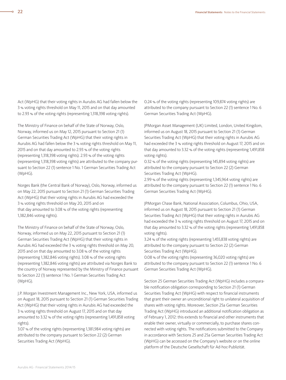Act (WpHG) that their voting rights in Aurubis AG had fallen below the 3 % voting rights threshold on May 11, 2015 and on that day amounted to 2.93 % of the voting rights (representing 1,318,398 voting rights).

The Ministry of Finance on behalf of the State of Norway, Oslo, Norway, informed us on May 12, 2015 pursuant to Section 21 (1) German Securities Trading Act (WpHG) that their voting rights in Aurubis AG had fallen below the 3 % voting rights threshold on May 11, 2015 and on that day amounted to 2.93 % of the voting rights (representing 1,318,398 voting rights). 2.93 % of the voting rights (representing 1,318,398 voting rights) are attributed to the company pursuant to Section 22 (1) sentence 1 No. 1 German Securities Trading Act (WpHG).

Norges Bank (the Central Bank of Norway), Oslo, Norway, informed us on May 22, 2015 pursuant to Section 21 (1) German Securities Trading Act (WpHG) that their voting rights in Aurubis AG had exceeded the 3 % voting rights threshold on May 20, 2015 and on that day amounted to 3.08 % of the voting rights (representing 1,382,846 voting rights).

The Ministry of Finance on behalf of the State of Norway, Oslo, Norway, informed us on May 22, 2015 pursuant to Section 21 (1) German Securities Trading Act (WpHG) that their voting rights in Aurubis AG had exceeded the 3 % voting rights threshold on May 20, 2015 and on that day amounted to 3.08 % of the voting rights (representing 1,382,846 voting rights). 3.08 % of the voting rights (representing 1,382,846 voting rights) are attributed via Norges Bank to the country of Norway represented by the Ministry of Finance pursuant to Section 22 (1) sentence 1 No. 1 German Securities Trading Act (WpHG).

J.P. Morgan Investment Management Inc., New York, USA, informed us on August 18, 2015 pursuant to Section 21 (1) German Securities Trading Act (WpHG) that their voting rights in Aurubis AG had exceeded the 3 % voting rights threshold on August 17, 2015 and on that day amounted to 3.32 % of the voting rights (representing 1,491,858 voting rights).

3.07 % of the voting rights (representing 1,381,984 voting rights) are attributed to the company pursuant to Section 22 (2) German Securities Trading Act (WpHG).

0.24 % of the voting rights (representing 109,874 voting rights) are attributed to the company pursuant to Section 22 (1) sentence 1 No. 6 German Securities Trading Act (WpHG).

JPMorgan Asset Management (UK) Limited, London, United Kingdom, informed us on August 18, 2015 pursuant to Section 21 (1) German Securities Trading Act (WpHG) that their voting rights in Aurubis AG had exceeded the 3 % voting rights threshold on August 17, 2015 and on that day amounted to 3.32 % of the voting rights (representing 1,491,858 voting rights).

0.32 % of the voting rights (representing 145,894 voting rights) are attributed to the company pursuant to Section 22 (2) German Securities Trading Act (WpHG).

2.99 % of the voting rights (representing 1,345,964 voting rights) are attributed to the company pursuant to Section 22 (1) sentence 1 No. 6 German Securities Trading Act (WpHG).

JPMorgan Chase Bank, National Association, Columbus, Ohio, USA, informed us on August 18, 2015 pursuant to Section 21 (1) German Securities Trading Act (WpHG) that their voting rights in Aurubis AG had exceeded the 3 % voting rights threshold on August 17, 2015 and on that day amounted to 3.32 % of the voting rights (representing 1,491,858 voting rights).

3.24 % of the voting rights (representing 1,455,838 voting rights) are attributed to the company pursuant to Section 22 (2) German Securities Trading Act (WpHG).

0.08 % of the voting rights (representing 36,020 voting rights) are attributed to the company pursuant to Section 22 (1) sentence 1 No. 6 German Securities Trading Act (WpHG).

Section 25 German Securities Trading Act (WpHG) includes a comparable notification obligation corresponding to Section 21 (1) German Securities Trading Act (WpHG) with respect to financial instruments that grant their owner an unconditional right to unilateral acquisition of shares with voting rights. Moreover, Section 25a German Securities Trading Act (WpHG) introduced an additional notification obligation as of February 1, 2012: this extends to financial and other instruments that enable their owner, virtually or commercially, to purchase shares connected with voting rights. The notifications submitted to the Company in accordance with Sections 25 and 25a German Securities Trading Act (WpHG) can be accessed on the Company's website or on the online platform of the Deutsche Gesellschaft für Ad-hoc-Publizität.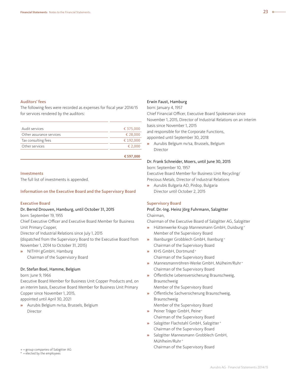#### Auditors' fees

The following fees were recorded as expenses for fiscal year 2014/15 for services rendered by the auditors:

| Audit services           | € 375,000 |
|--------------------------|-----------|
| Other assurance services | € 28,000  |
| Tax consulting fees      | € 192,000 |
| Other services           | € 2.000   |
|                          |           |

#### **€ 597,000**

#### Investments

The full list of investments is appended.

#### Information on the Executive Board and the Supervisory Board

#### Executive Board

#### Dr. Bernd Drouven, Hamburg, until October 31, 2015

born: September 19, 1955

Chief Executive Officer and Executive Board Member for Business Unit Primary Copper,

Director of Industrial Relations since July 1, 2015

(dispatched from the Supervisory Board to the Executive Board from November 1, 2014 to October 31, 2015)

**»** NITHH gGmbH, Hamburg Chairman of the Supervisory Board

#### Dr. Stefan Boel, Hamme, Belgium

born: June 9, 1966

Executive Board Member for Business Unit Copper Products and, on an interim basis, Executive Board Member for Business Unit Primary Copper since November 1, 2015,

appointed until April 30, 2021

**»** Aurubis Belgium nv/sa, Brussels, Belgium Director

\* = elected by the employees

#### Erwin Faust, Hamburg

born: January 4, 1957

Chief Financial Officer, Executive Board Spokesman since November 1, 2015, Director of Industrial Relations on an interim basis since November 1, 2015 and responsible for the Corporate Functions,

appointed until September 30, 2018

**»** Aurubis Belgium nv/sa, Brussels, Belgium Director

#### Dr. Frank Schneider, Moers, until June 30, 2015

born: September 10, 1957 Executive Board Member for Business Unit Recycling/ Precious Metals, Director of Industrial Relations

**»** Aurubis Bulgaria AD, Pirdop, Bulgaria Director until October 2, 2015

#### Supervisory Board

#### Prof. Dr.-Ing. Heinz Jörg Fuhrmann, Salzgitter Chairman,

Chairman of the Executive Board of Salzgitter AG, Salzgitter

- **»** Hüttenwerke Krupp Mannesmann GmbH, Duisburg <sup>+</sup> Member of the Supervisory Board
- **»** Ilsenburger Grobblech GmbH, Ilsenburg <sup>+</sup> Chairman of the Supervisory Board
- **»** KHS GmbH, Dortmund <sup>+</sup> Chairman of the Supervisory Board
- **»** Mannesmannröhren-Werke GmbH, Mülheim/Ruhr <sup>+</sup> Chairman of the Supervisory Board
- **»** Öffentliche Lebensversicherung Braunschweig, Braunschweig Member of the Supervisory Board
- **»** Öffentliche Sachversicherung Braunschweig, Braunschweig
- Member of the Supervisory Board
- **»** Peiner Träger GmbH, Peine+ Chairman of the Supervisory Board
- **»** Salzgitter Flachstahl GmbH, Salzgitter <sup>+</sup> Chairman of the Supervisory Board
- **»** Salzgitter Mannesmann Grobblech GmbH, Mühlheim/Ruhr <sup>+</sup> + = group companies of Salzgitter AG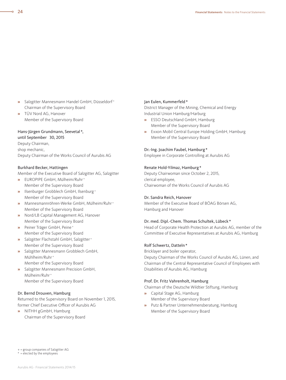- **»** Salzgitter Mannesmann Handel GmbH, Düsseldorf <sup>+</sup> Chairman of the Supervisory Board
- **»** TÜV Nord AG, Hanover Member of the Supervisory Board

#### Hans-Jürgen Grundmann, Seevetal \*,

until September 30, 2015 Deputy Chairman, shop mechanic, Deputy Chairman of the Works Council of Aurubis AG

#### Burkhard Becker, Hattingen

Member of the Executive Board of Salzgitter AG, Salzgitter

- **»** EUROPIPE GmbH, Mülheim/Ruhr <sup>+</sup> Member of the Supervisory Board
- **»** Ilsenburger Grobblech GmbH, Ilsenburg <sup>+</sup> Member of the Supervisory Board
- **»** Mannesmannröhren-Werke GmbH, Mülheim/Ruhr <sup>+</sup> Member of the Supervisory Board
- **»** Nord/LB Capital Management AG, Hanover Member of the Supervisory Board
- **»** Peiner Träger GmbH, Peine <sup>+</sup> Member of the Supervisory Board
- **»** Salzgitter Flachstahl GmbH, Salzgitter <sup>+</sup> Member of the Supervisory Board
- **»** Salzgitter Mannesmann Grobblech GmbH, Mühlheim/Ruhr <sup>+</sup> Member of the Supervisory Board
- **»** Salzgitter Mannesmann Precision GmbH, Mülheim/Ruhr <sup>+</sup> Member of the Supervisory Board

#### Dr. Bernd Drouven, Hamburg

Returned to the Supervisory Board on November 1, 2015, former Chief Executive Officer of Aurubis AG

**»** NITHH gGmbH, Hamburg Chairman of the Supervisory Board

#### Jan Eulen, Kummerfeld\*

District Manager of the Mining, Chemical and Energy Industrial Union Hamburg/Harburg

- **»** ESSO Deutschland GmbH, Hamburg Member of the Supervisory Board
- **»** Exxon Mobil Central Europe Holding GmbH, Hamburg Member of the Supervisory Board

#### Dr.-Ing. Joachim Faubel, Hamburg\*

Employee in Corporate Controlling at Aurubis AG

#### Renate Hold-Yilmaz, Hamburg\*

Deputy Chairwoman since October 2, 2015, clerical employee, Chairwoman of the Works Council of Aurubis AG

#### Dr. Sandra Reich, Hanover

Member of the Executive Board of BÖAG Börsen AG, Hamburg and Hanover

#### Dr. med. Dipl.-Chem. Thomas Schultek, Lübeck \*

Head of Corporate Health Protection at Aurubis AG, member of the Committee of Executive Representatives at Aurubis AG, Hamburg

#### Rolf Schwertz, Datteln\*

Bricklayer and boiler operator, Deputy Chairman of the Works Council of Aurubis AG, Lünen, and Chairman of the Central Representative Council of Employees with Disabilities of Aurubis AG, Hamburg

#### Prof. Dr. Fritz Vahrenholt, Hamburg

Chairman of the Deutsche Wildtier Stiftung, Hamburg

- **»** Capital Stage AG, Hamburg Member of the Supervisory Board
- **»** Putz & Partner Unternehmensberatung, Hamburg Member of the Supervisory Board

\* = elected by the employees

 $\sim$ 

<sup>+</sup> = group companies of Salzgitter AG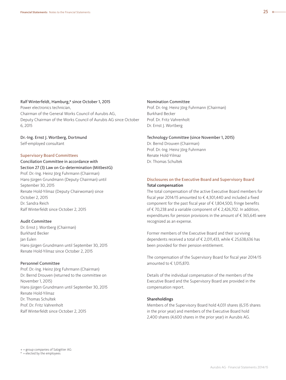#### Ralf Winterfeldt, Hamburg,\* since October 1, 2015

Power electronics technician, Chairman of the General Works Council of Aurubis AG, Deputy Chairman of the Works Council of Aurubis AG since October 6, 2015

Dr.-Ing. Ernst J. Wortberg, Dortmund Self-employed consultant

#### Supervisory Board Committees

### Conciliation Committee in accordance with

Section 27 (3) Law on Co-determination (MitbestG) Prof. Dr.-Ing. Heinz Jörg Fuhrmann (Chairman) Hans-Jürgen Grundmann (Deputy Chairman) until September 30, 2015

Renate Hold-Yilmaz (Deputy Chairwoman) since October 2, 2015 Dr. Sandra Reich Ralf Winterfeldt since October 2, 2015

#### Audit Committee

Dr. Ernst J. Wortberg (Chairman) Burkhard Becker Jan Eulen Hans-Jürgen Grundmann until September 30, 2015 Renate Hold-Yilmaz since October 2, 2015

#### Personnel Committee

Prof. Dr.-Ing. Heinz Jörg Fuhrmann (Chairman) Dr. Bernd Drouven (returned to the committee on November 1, 2015) Hans-Jürgen Grundmann until September 30, 2015 Renate Hold-Yilmaz Dr. Thomas Schultek Prof. Dr. Fritz Vahrenholt Ralf Winterfeldt since October 2, 2015

#### Nomination Committee

Prof. Dr.-Ing. Heinz Jörg Fuhrmann (Chairman) Burkhard Becker Prof. Dr. Fritz Vahrenholt Dr. Ernst J. Wortberg

#### Technology Committee (since November 1, 2015)

Dr. Bernd Drouven (Chairman) Prof. Dr.-Ing. Heinz Jörg Fuhrmann Renate Hold-Yilmaz Dr. Thomas Schultek

#### Disclosures on the Executive Board and Supervisory Board Total compensation

The total compensation of the active Executive Board members for fiscal year 2014/15 amounted to € 4,301,440 and included a fixed component for the past fiscal year of  $\epsilon$  1,804,500, fringe benefits of € 70,238 and a variable component of € 2,426,702. In addition, expenditures for pension provisions in the amount of € 365,645 were recognized as an expense.

Former members of the Executive Board and their surviving dependents received a total of € 2,011,433, while € 25,638,636 has been provided for their pension entitlement.

The compensation of the Supervisory Board for fiscal year 2014/15 amounted to € 1,015,870.

Details of the individual compensation of the members of the Executive Board and the Supervisory Board are provided in the compensation report.

#### Shareholdings

Members of the Supervisory Board hold 4,031 shares (6,515 shares in the prior year) and members of the Executive Board hold 2,400 shares (4,600 shares in the prior year) in Aurubis AG.

+ = group companies of Salzgitter AG

\* = elected by the employees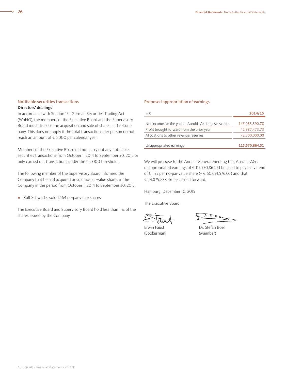### Notifiable securities transactions

#### Directors' dealings

In accordance with Section 15a German Securities Trading Act (WpHG), the members of the Executive Board and the Supervisory Board must disclose the acquisition and sale of shares in the Company. This does not apply if the total transactions per person do not reach an amount of € 5,000 per calendar year.

Members of the Executive Board did not carry out any notifiable securities transactions from October 1, 2014 to September 30, 2015 or only carried out transactions under the € 5,000 threshold.

The following member of the Supervisory Board informed the Company that he had acquired or sold no-par-value shares in the Company in the period from October 1, 2014 to September 30, 2015:

**»** Rolf Schwertz: sold 1,564 no-par-value shares

The Executive Board and Supervisory Board hold less than 1 % of the shares issued by the Company.

#### Proposed appropriation of earnings

| in $\epsilon$                                         | 2014/15        |
|-------------------------------------------------------|----------------|
|                                                       |                |
| Net income for the year of Aurubis Aktiengesellschaft | 145,083,390.78 |
| Profit brought forward from the prior year            | 42,987,473.73  |
| Allocations to other revenue reserves                 | 72,500,000.00  |
| Unappropriated earnings                               | 115,570,864.51 |

We will propose to the Annual General Meeting that Aurubis AG's unappropriated earnings of € 115,570,864.51 be used to pay a dividend of € 1.35 per no-par-value share (=  $€$  60,691,576.05) and that € 54,879,288.46 be carried forward.

Hamburg, December 10, 2015

The Executive Board

(Spokesman) (Member)

Erwin Faust **Dr. Stefan Boel**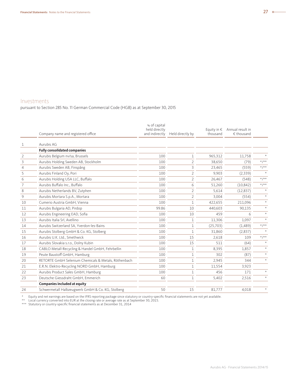### Investments

pursuant to Section 285 No. 11 German Commercial Code (HGB) as at September 30, 2015

|                | Company name and registered office                   | % of capital<br>held directly<br>and indirectly | Held directly by | Equity in $\epsilon$<br>thousand | Annual result in<br>€ thousand |           |
|----------------|------------------------------------------------------|-------------------------------------------------|------------------|----------------------------------|--------------------------------|-----------|
| 1              | Aurubis AG                                           |                                                 |                  |                                  |                                |           |
|                | <b>Fully consolidated companies</b>                  |                                                 |                  |                                  |                                |           |
| $\overline{2}$ | Aurubis Belgium nv/sa, Brussels                      | 100                                             | $\mathbf{1}$     | 965.312                          | 11.758                         |           |
| 3              | Aurubis Holding Sweden AB, Stockholm                 | 100                                             | $\overline{2}$   | 38,650                           | (79)                           | $*/*$     |
| $\overline{4}$ | Aurubis Sweden AB, Finspång                          | 100                                             | 3                | 23,465                           | (559)                          | $*/**$    |
| 5              | Aurubis Finland Oy, Pori                             | 100                                             | $\overline{2}$   | 9,903                            | (2,339)                        | $\star$   |
| 6              | Aurubis Holding USA LLC, Buffalo                     | 100                                             | $\overline{2}$   | 26,467                           | (548)                          | $*/*$     |
| $\overline{7}$ | Aurubis Buffalo Inc., Buffalo                        | 100                                             | 6                | 51,260                           | (10, 842)                      | $*/**$    |
| 8              | Aurubis Netherlands BV, Zutphen                      | 100                                             | $\overline{2}$   | 5,614                            | (12, 837)                      | $\star$   |
| 9              | Aurubis Mortara S.p.A., Mortara                      | 100                                             | $\overline{2}$   | 3,004                            | (554)                          | $\star$   |
| 10             | Cumerio Austria GmbH, Vienna                         | 100                                             | $\mathbf{1}$     | 422,655                          | 211,096                        | $\star$   |
| 11             | Aurubis Bulgaria AD, Pirdop                          | 99.86                                           | 10               | 440,603                          | 90,135                         | $\star$   |
| 12             | Aurubis Engineering EAD, Sofia                       | 100                                             | 10               | 459                              | 6                              | $\star$   |
| 13             | Aurubis Italia Srl, Avellino                         | 100                                             | 1                | 11,306                           | 1,097                          | $\star$   |
| 14             | Aurubis Switzerland SA, Yverdon-les-Bains            | 100                                             | $\mathbf{1}$     | (25,703)                         | (1,489)                        | $*/**$    |
| 15             | Aurubis Stolberg GmbH & Co. KG, Stolberg             | 100                                             | $\mathbf 1$      | 31,860                           | (2,837)                        |           |
| 16             | Aurubis U.K. Ltd., Smethwick                         | 100                                             | 15               | 2,618                            | 109                            | $* / * *$ |
| 17             | Aurubis Slovakia s.r.o., Dolny Kubin                 | 100                                             | 15               | 511                              | (64)                           |           |
| 18             | CABLO Metall-Recycling & Handel GmbH, Fehrbellin     | 100                                             | $\mathbf{1}$     | 8,395                            | 1,857                          | $\star$   |
| 19             | Peute Baustoff GmbH, Hamburg                         | 100                                             | $\mathbf{1}$     | 302                              | (87)                           | $\star$   |
| 20             | RETORTE GmbH Selenium Chemicals & Metals, Röthenbach | 100                                             | $\mathbf{1}$     | 2,945                            | 344                            | $\star$   |
| 21             | E.R.N. Elektro-Recycling NORD GmbH, Hamburg          | 100                                             | $\mathbf{1}$     | 11,554                           | 3,923                          |           |
| 22             | Aurubis Product Sales GmbH, Hamburg                  | 100                                             | $\mathbf{1}$     | 456                              | 171                            | $\star$   |
| 23             | Deutsche Giessdraht GmbH. Emmerich                   | 60                                              | $\mathbf{1}$     | 5,402                            | 2,516                          | $\star$   |
|                | <b>Companies included at equity</b>                  |                                                 |                  |                                  |                                |           |
| 24             | Schwermetall Halbzeugwerk GmbH & Co. KG, Stolberg    | 50                                              | 15               | 81,777                           | 4,018                          | $\star$   |

\* Equity and net earnings are based on the IFRS reporting package since statutory or country-specific financial statements are not yet available.<br>\*\* Local currency converted into EUR at the closing rate or averag

\*\*\* Statutory or country-specific financial statements as at December 31, 2014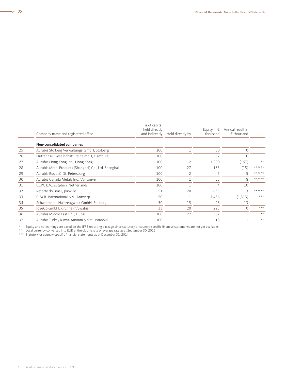|    | Company name and registered office                   | % of capital<br>held directly<br>and indirectly | Held directly by | Equity in $\epsilon$<br>thousand | Annual result in<br>$\epsilon$ thousand |            |
|----|------------------------------------------------------|-------------------------------------------------|------------------|----------------------------------|-----------------------------------------|------------|
|    |                                                      |                                                 |                  |                                  |                                         |            |
|    | Non-consolidated companies                           |                                                 |                  |                                  |                                         |            |
| 25 | Aurubis Stolberg Verwaltungs-GmbH, Stolberg          | 100                                             |                  | 30                               | $\mathbf{0}$                            |            |
| 26 | Hüttenbau-Gesellschaft Peute mbH, Hamburg            | 100                                             | 1                | 87                               | $\Omega$                                |            |
| 27 | Aurubis Hong Kong Ltd., Hong Kong                    | 100                                             | $\mathfrak{D}$   | 1,200                            | (167)                                   | $**$       |
| 28 | Aurubis Metal Products (Shanghai) Co., Ltd, Shanghai | 100                                             | 27               | 185                              | (15)                                    | ** /***    |
| 29 | Aurubis Rus LLC, St. Petersburg                      | 100                                             | $\overline{2}$   |                                  |                                         | $***$ /*** |
| 30 | Aurubis Canada Metals Inc., Vancouver                | 100                                             | 1                | 55                               | 8                                       | $***$ /*** |
| 31 | BCPC B.V., Zutphen, Netherlands                      | 100                                             |                  | $\overline{4}$                   | 10                                      |            |
| 32 | Retorte do Brasil, Joinville                         | 51                                              | 20               | 635                              | 113                                     | $***$ /*** |
| 33 | C.M.R. International N.V., Antwerp                   | 50                                              |                  | 1,486                            | (1, 313)                                | $***$      |
| 34 | Schwermetall Halbzeugwerk GmbH, Stolberg             | 50                                              | 15               | 26                               | 13                                      |            |
| 35 | JoSeCo GmbH, Kirchheim/Swabia                        | 33                                              | 20               | 225                              | $\Omega$                                | $***$      |
| 36 | Aurubis Middle East FZE, Dubai                       | 100                                             | 22               | 62                               |                                         | **         |
| 37 | Aurubis Turkey Kimya Anonim Sirketi, Istanbul        | 100                                             | 11               | 18                               |                                         | $**$       |

\* Equity and net earnings are based on the IFRS reporting package since statutory or country-specific financial statements are not yet available.<br>\*\* Local currency converted into EUR at the closing rate or averag

\*\*\* Statutory or country-specific financial statements as at December 31, 2014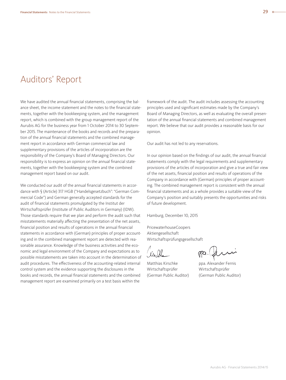# Auditors' Report

We have audited the annual financial statements, comprising the balance sheet, the income statement and the notes to the financial statements, together with the bookkeeping system, and the management report, which is combined with the group management report of the Aurubis AG for the business year from 1 October 2014 to 30 September 2015. The maintenance of the books and records and the preparation of the annual financial statements and the combined management report in accordance with German commercial law and supplementary provisions of the articles of incorporation are the responsibility of the Company's Board of Managing Directors. Our responsibility is to express an opinion on the annual financial statements, together with the bookkeeping system and the combined management report based on our audit.

We conducted our audit of the annual financial statements in accordance with § (Article) 317 HGB ("Handelsgesetzbuch": "German Commercial Code") and German generally accepted standards for the audit of financial statements promulgated by the Institut der Wirtschaftsprüfer (Institute of Public Auditors in Germany) (IDW). Those standards require that we plan and perform the audit such that misstatements materially affecting the presentation of the net assets, financial position and results of operations in the annual financial statements in accordance with (German) principles of proper accounting and in the combined management report are detected with reasonable assurance. Knowledge of the business activities and the economic and legal environment of the Company and expectations as to possible misstatements are taken into account in the determination of audit procedures. The effectiveness of the accounting-related internal control system and the evidence supporting the disclosures in the books and records, the annual financial statements and the combined management report are examined primarily on a test basis within the

framework of the audit. The audit includes assessing the accounting principles used and significant estimates made by the Company's Board of Managing Directors, as well as evaluating the overall presentation of the annual financial statements and combined management report. We believe that our audit provides a reasonable basis for our opinion.

Our audit has not led to any reservations.

In our opinion based on the findings of our audit, the annual financial statements comply with the legal requirements and supplementary provisions of the articles of incorporation and give a true and fair view of the net assets, financial position and results of operations of the Company in accordance with (German) principles of proper accounting. The combined management report is consistent with the annual financial statements and as a whole provides a suitable view of the Company's position and suitably presents the opportunities and risks of future development.

Hamburg, December 10, 2015

PricewaterhouseCoopers Aktiengesellschaft Wirtschaftsprüfungsgesellschaft

Wirtschaftsprüfer Wirtschaftsprüfer

Matthias Kirschke ppa. Alexander Fernis (German Public Auditor) (German Public Auditor)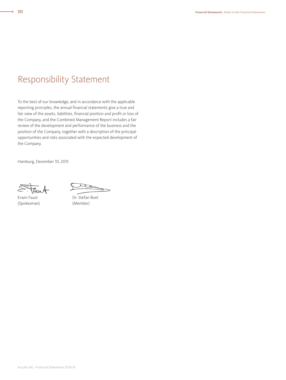# Responsibility Statement

To the best of our knowledge, and in accordance with the applicable reporting principles, the annual financial statements give a true and fair view of the assets, liabilities, financial position and profit or loss of the Company, and the Combined Management Report includes a fair review of the development and performance of the business and the position of the Company, together with a description of the principal opportunities and risks associated with the expected development of the Company.

Hamburg, December 10, 2015

(Spokesman) (Member)

Erwin Faust Dr. Stefan Boel